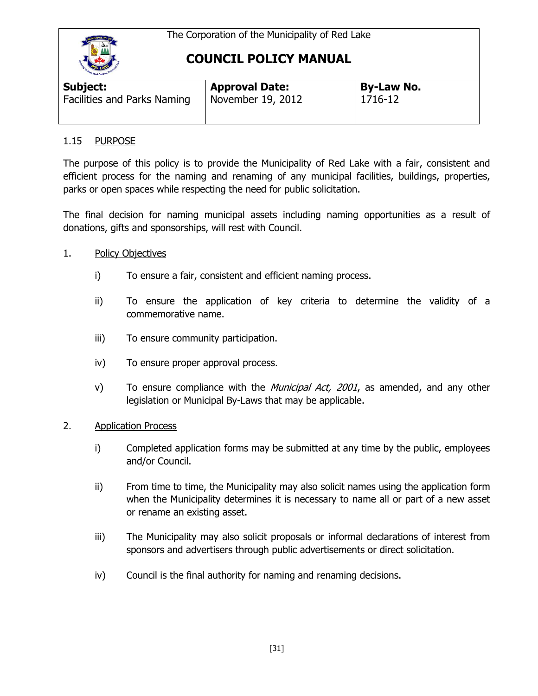

# **COUNCIL POLICY MANUAL**

| Subject:                    | <b>Approval Date:</b> | <b>By-Law No.</b> |  |
|-----------------------------|-----------------------|-------------------|--|
| Facilities and Parks Naming | November 19, 2012     | 1716-12           |  |

### 1.15 PURPOSE

The purpose of this policy is to provide the Municipality of Red Lake with a fair, consistent and efficient process for the naming and renaming of any municipal facilities, buildings, properties, parks or open spaces while respecting the need for public solicitation.

The final decision for naming municipal assets including naming opportunities as a result of donations, gifts and sponsorships, will rest with Council.

- 1. Policy Objectives
	- i) To ensure a fair, consistent and efficient naming process.
	- ii) To ensure the application of key criteria to determine the validity of a commemorative name.
	- iii) To ensure community participation.
	- iv) To ensure proper approval process.
	- v) To ensure compliance with the *Municipal Act, 2001*, as amended, and any other legislation or Municipal By-Laws that may be applicable.
- 2. Application Process
	- i) Completed application forms may be submitted at any time by the public, employees and/or Council.
	- ii) From time to time, the Municipality may also solicit names using the application form when the Municipality determines it is necessary to name all or part of a new asset or rename an existing asset.
	- iii) The Municipality may also solicit proposals or informal declarations of interest from sponsors and advertisers through public advertisements or direct solicitation.
	- iv) Council is the final authority for naming and renaming decisions.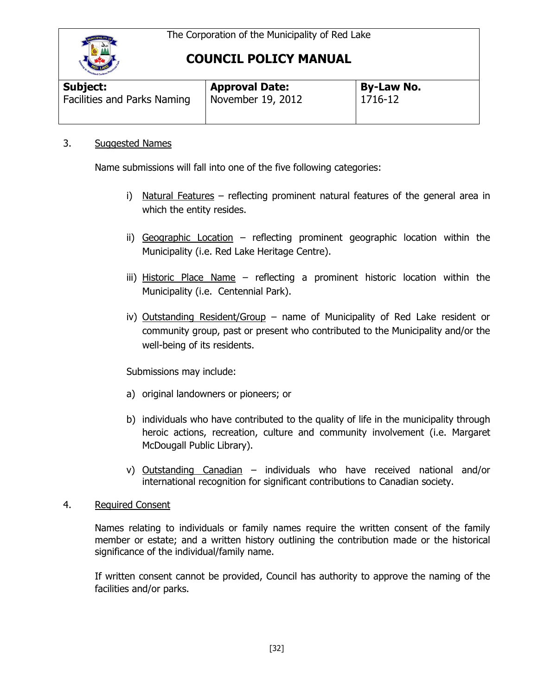

# **COUNCIL POLICY MANUAL**

| <b>Signet Caribow</b>       |                       |                   |
|-----------------------------|-----------------------|-------------------|
| Subject:                    | <b>Approval Date:</b> | <b>By-Law No.</b> |
| Facilities and Parks Naming | November 19, 2012     | 1716-12           |

### 3. Suggested Names

Name submissions will fall into one of the five following categories:

- i) Natural Features reflecting prominent natural features of the general area in which the entity resides.
- ii) Geographic Location reflecting prominent geographic location within the Municipality (i.e. Red Lake Heritage Centre).
- iii) Historic Place Name reflecting a prominent historic location within the Municipality (i.e. Centennial Park).
- iv) Outstanding Resident/Group name of Municipality of Red Lake resident or community group, past or present who contributed to the Municipality and/or the well-being of its residents.

Submissions may include:

- a) original landowners or pioneers; or
- b) individuals who have contributed to the quality of life in the municipality through heroic actions, recreation, culture and community involvement (i.e. Margaret McDougall Public Library).
- v) Outstanding Canadian individuals who have received national and/or international recognition for significant contributions to Canadian society.

#### 4. Required Consent

Names relating to individuals or family names require the written consent of the family member or estate; and a written history outlining the contribution made or the historical significance of the individual/family name.

If written consent cannot be provided, Council has authority to approve the naming of the facilities and/or parks.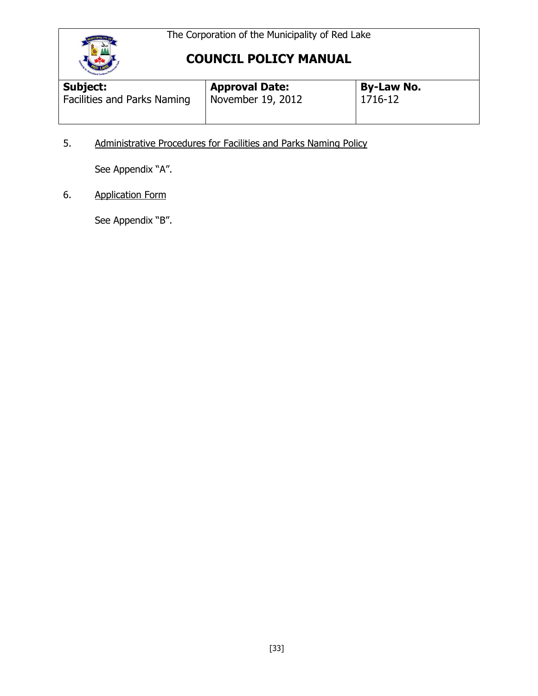



# **COUNCIL POLICY MANUAL**

| <b>Modiand Caribour</b><br>Subject: | <b>Approval Date:</b> | <b>By-Law No.</b> |  |
|-------------------------------------|-----------------------|-------------------|--|
| Facilities and Parks Naming         | November 19, 2012     | 1716-12           |  |

5. Administrative Procedures for Facilities and Parks Naming Policy

See Appendix "A".

6. Application Form

See Appendix "B".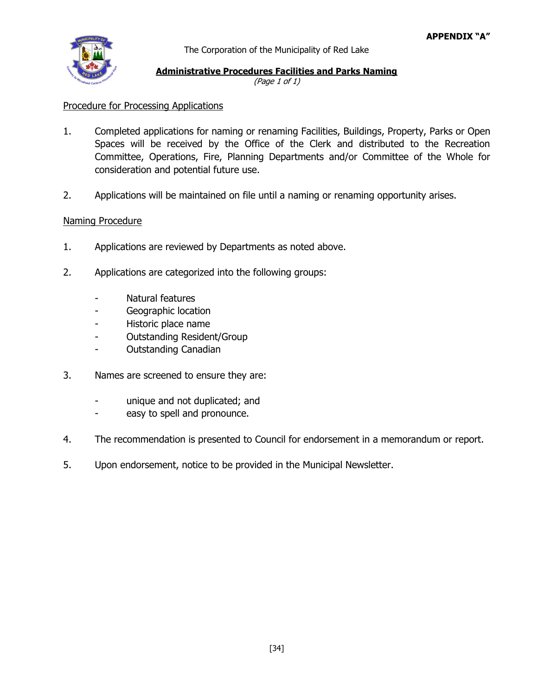

The Corporation of the Municipality of Red Lake

## **Administrative Procedures Facilities and Parks Naming**

(Page 1 of 1)

### Procedure for Processing Applications

- 1. Completed applications for naming or renaming Facilities, Buildings, Property, Parks or Open Spaces will be received by the Office of the Clerk and distributed to the Recreation Committee, Operations, Fire, Planning Departments and/or Committee of the Whole for consideration and potential future use.
- 2. Applications will be maintained on file until a naming or renaming opportunity arises.

#### Naming Procedure

- 1. Applications are reviewed by Departments as noted above.
- 2. Applications are categorized into the following groups:
	- Natural features
	- Geographic location
	- Historic place name
	- Outstanding Resident/Group
	- Outstanding Canadian
- 3. Names are screened to ensure they are:
	- unique and not duplicated; and
	- easy to spell and pronounce.
- 4. The recommendation is presented to Council for endorsement in a memorandum or report.
- 5. Upon endorsement, notice to be provided in the Municipal Newsletter.